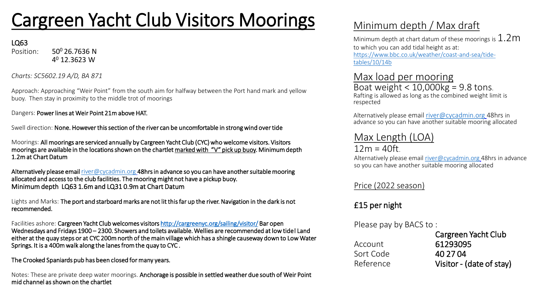# Cargreen Yacht Club Visitors Moorings

#### LQ63

Position:  $50^0$  26, 7636 N 4 <sup>0</sup> 12.3623 W

*Charts: SC5602.19 A/D, BA 871*

Approach: Approaching "Weir Point" from the south aim for halfway between the Port hand mark and yellow buoy. Then stay in proximity to the middle trot of moorings

Dangers: Power lines at Weir Point 21m above HAT.

Swell direction: None. However this section of the river can be uncomfortable in strong wind over tide

Moorings: All moorings are serviced annually by Cargreen Yacht Club (CYC) who welcome visitors. Visitors moorings are available in the locations shown on the chartlet marked with "V" pick up buoy. Minimum depth 1.2m at Chart Datum

Alternatively please email [river@cycadmin.org](mailto:river@cycadmin.org) 48hrs in advance so you can have another suitable mooring allocated and access to the club facilities. The mooring might not have a pickup buoy. Minimum depth LQ63 1.6m and LQ31 0.9m at Chart Datum

Lights and Marks: The port and starboard marks are not lit this far up the river. Navigation in the dark is not recommended.

Facilities ashore: Cargreen Yacht Club welcomes visitors<http://cargreenyc.org/sailing/visitor/> Bar open Wednesdays and Fridays 1900 – 2300. Showers and toilets available. Wellies are recommended at low tide! Land either at the quay steps or at CYC 200m north of the main village which has a shingle causeway down to Low Water Springs. It is a 400m walk along the lanes from the quay to CYC .

The Crooked Spaniards pub has been closed for many years.

Notes: These are private deep water moorings. Anchorage is possible in settled weather due south of Weir Point mid channel as shown on the chartlet

# Minimum depth / Max draft

Minimum depth at chart datum of these moorings is  $1.2m$ to which you can add tidal height as at: [https://www.bbc.co.uk/weather/coast-and-sea/tide](https://www.bbc.co.uk/weather/coast-and-sea/tide-tables/10/14b)tables/10/14b

### Max load per mooring

Boat weight  $<$  10,000 kg = 9.8 tons. Rafting is allowed as long as the combined weight limit is respected

Alternatively please email [river@cycadmin.org](mailto:river@cycadmin.org) 48hrs in advance so you can have another suitable mooring allocated

Max Length (LOA)

 $12m = 40$ ft.

Alternatively please email [river@cycadmin.org](mailto:river@cycadmin.org) 48hrs in advance so you can have another suitable mooring allocated

Price (2022 season)

## £15 per night

Please pay by BACS to :

| 61293095     |
|--------------|
| 40 27 04     |
| Visitor - (d |
|              |

Cargreen Yacht Club 40 27 04 Visitor - (date of stay)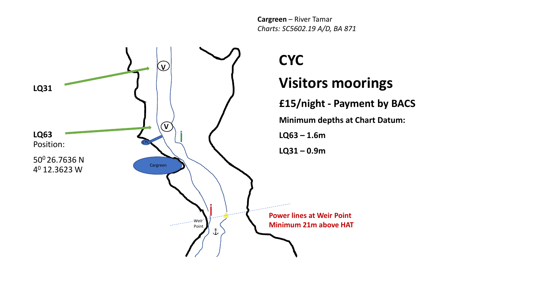**Cargreen** – River Tamar *Charts: SC5602.19 A/D, BA 871*



**Visitors moorings**

**£15/night - Payment by BACS Minimum depths at Chart Datum:**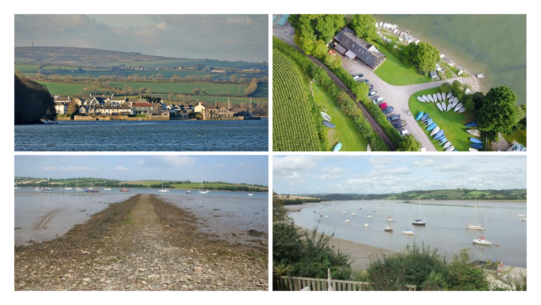